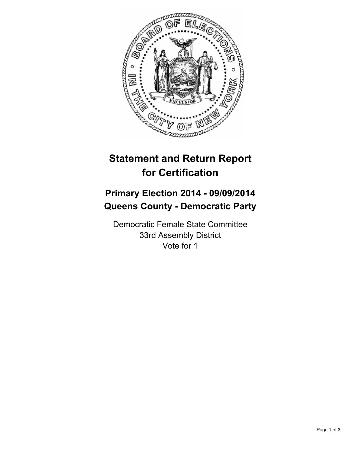

## **Statement and Return Report for Certification**

## **Primary Election 2014 - 09/09/2014 Queens County - Democratic Party**

Democratic Female State Committee 33rd Assembly District Vote for 1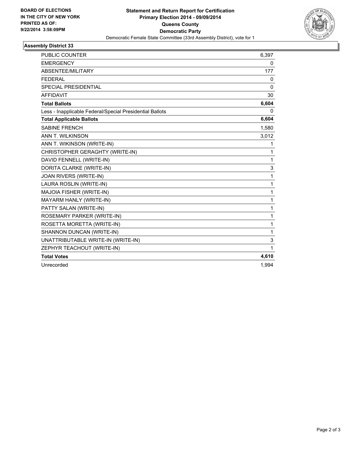

## **Assembly District 33**

| <b>PUBLIC COUNTER</b>                                    | 6,397        |
|----------------------------------------------------------|--------------|
| <b>EMERGENCY</b>                                         | 0            |
| ABSENTEE/MILITARY                                        | 177          |
| <b>FEDERAL</b>                                           | 0            |
| <b>SPECIAL PRESIDENTIAL</b>                              | $\Omega$     |
| <b>AFFIDAVIT</b>                                         | 30           |
| <b>Total Ballots</b>                                     | 6,604        |
| Less - Inapplicable Federal/Special Presidential Ballots | 0            |
| <b>Total Applicable Ballots</b>                          | 6,604        |
| <b>SABINE FRENCH</b>                                     | 1,580        |
| ANN T. WILKINSON                                         | 3,012        |
| ANN T. WIKINSON (WRITE-IN)                               | 1            |
| CHRISTOPHER GERAGHTY (WRITE-IN)                          | 1            |
| DAVID FENNELL (WRITE-IN)                                 | $\mathbf{1}$ |
| DORITA CLARKE (WRITE-IN)                                 | 3            |
| JOAN RIVERS (WRITE-IN)                                   | $\mathbf{1}$ |
| LAURA ROSLIN (WRITE-IN)                                  | 1            |
| MAJOIA FISHER (WRITE-IN)                                 | 1            |
| MAYARM HANLY (WRITE-IN)                                  | $\mathbf{1}$ |
| PATTY SALAN (WRITE-IN)                                   | $\mathbf{1}$ |
| ROSEMARY PARKER (WRITE-IN)                               | 1            |
| ROSETTA MORETTA (WRITE-IN)                               | 1            |
| SHANNON DUNCAN (WRITE-IN)                                | 1            |
| UNATTRIBUTABLE WRITE-IN (WRITE-IN)                       | 3            |
| ZEPHYR TEACHOUT (WRITE-IN)                               | 1            |
| <b>Total Votes</b>                                       | 4,610        |
| Unrecorded                                               | 1,994        |